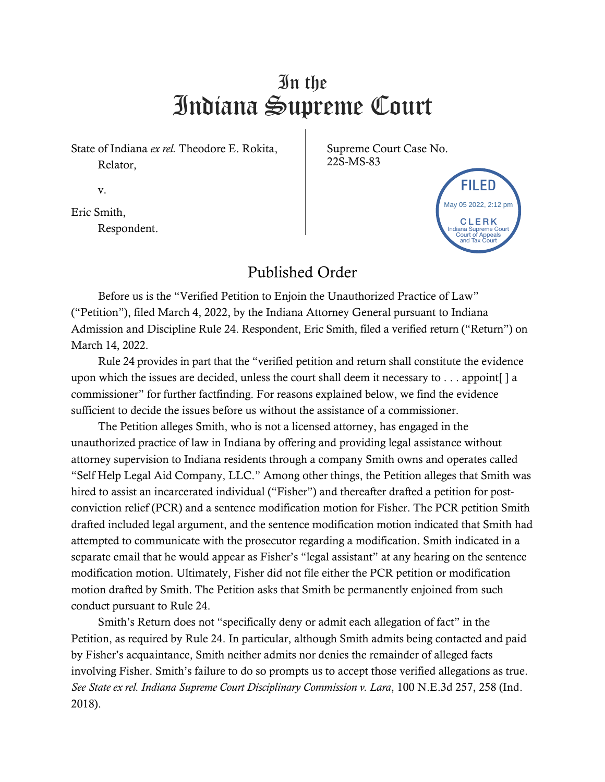## In the Indiana Supreme Court

State of Indiana *ex rel.* Theodore E. Rokita, Relator,

Supreme Court Case No. 22S-MS-83

v.

Eric Smith, Respondent.



## Published Order

Before us is the "Verified Petition to Enjoin the Unauthorized Practice of Law" ("Petition"), filed March 4, 2022, by the Indiana Attorney General pursuant to Indiana Admission and Discipline Rule 24. Respondent, Eric Smith, filed a verified return ("Return") on March 14, 2022.

Rule 24 provides in part that the "verified petition and return shall constitute the evidence upon which the issues are decided, unless the court shall deem it necessary to  $\dots$  appoint [ ] a commissioner" for further factfinding. For reasons explained below, we find the evidence sufficient to decide the issues before us without the assistance of a commissioner.

The Petition alleges Smith, who is not a licensed attorney, has engaged in the unauthorized practice of law in Indiana by offering and providing legal assistance without attorney supervision to Indiana residents through a company Smith owns and operates called "Self Help Legal Aid Company, LLC." Among other things, the Petition alleges that Smith was hired to assist an incarcerated individual ("Fisher") and thereafter drafted a petition for postconviction relief (PCR) and a sentence modification motion for Fisher. The PCR petition Smith drafted included legal argument, and the sentence modification motion indicated that Smith had attempted to communicate with the prosecutor regarding a modification. Smith indicated in a separate email that he would appear as Fisher's "legal assistant" at any hearing on the sentence modification motion. Ultimately, Fisher did not file either the PCR petition or modification motion drafted by Smith. The Petition asks that Smith be permanently enjoined from such conduct pursuant to Rule 24. v.<br>
Fine Smith,<br>
Fine Smith,<br>
Respondent.<br>
Respondent.<br>
Published Order<br>
Respondent.<br>
Published Order<br>
Respondent ("Petition"), filed March 4, 2022, by the Indiana Attorney General pursuant to Indiana<br>
Admission and Dissi

Smith's Return does not "specifically deny or admit each allegation of fact" in the Petition, as required by Rule 24. In particular, although Smith admits being contacted and paid by Fisher's acquaintance, Smith neither admits nor denies the remainder of alleged facts involving Fisher. Smith's failure to do so prompts us to accept those verified allegations as true. *See State ex rel. Indiana Supreme Court Disciplinary Commission v. Lara*, 100 N.E.3d 257, 258 (Ind.